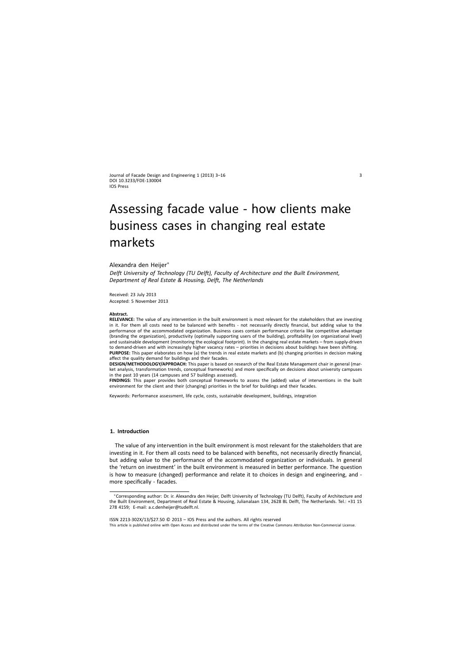Journal of Facade Design and Engineering 1 (2013) 3–16 DOI 10.3233/FDE-130004 IOS Press

# Assessing facade value - how clients make business cases in changing real estate markets

## Alexandra den Heijer<sup>∗</sup>

*Delft University of Technology (TU Delft), Faculty of Architecture and the Built Environment, Department of Real Estate & Housing, Delft, The Netherlands*

Received: 23 July 2013 Accepted: 5 November 2013

#### **Abstract.**

**RELEVANCE:** The value of any intervention in the built environment is most relevant for the stakeholders that are investing in it. For them all costs need to be balanced with benefits - not necessarily directly financial, but adding value to the performance of the accommodated organization. Business cases contain performance criteria like competitive advantage (branding the organization), productivity (optimally supporting users of the building), profitability (on organizational level) and sustainable development (monitoring the ecological footprint). In the changing real estate markets – from supply-driven to demand-driven and with increasingly higher vacancy rates – priorities in decisions about buildings have been shifting. **PURPOSE:** This paper elaborates on how (a) the trends in real estate markets and (b) changing priorities in decision making affect the quality demand for buildings and their facades.

**DESIGN/METHODOLOGY/APPROACH:** This paper is based on research of the Real Estate Management chair in general (market analysis, transformation trends, conceptual frameworks) and more specifically on decisions about university campuses in the past 10 years (14 campuses and 57 buildings assessed).

**FINDINGS:** This paper provides both conceptual frameworks to assess the (added) value of interventions in the built environment for the client and their (changing) priorities in the brief for buildings and their facades.

Keywords: Performance assessment, life cycle, costs, sustainable development, buildings, integration

## **1. Introduction**

The value of any intervention in the built environment is most relevant for the stakeholders that are investing in it. For them all costs need to be balanced with benefits, not necessarily directly financial, but adding value to the performance of the accommodated organization or individuals. In general the 'return on investment' in the built environment is measured in better performance. The question is how to measure (changed) performance and relate it to choices in design and engineering, and more specifically - facades.

ISSN 2213-302X/13/\$27.50 © 2013 – IOS Press and the authors. All rights reserved

This article is published online with Open Access and distributed under the terms of the Creative Commons Attribution Non-Commercial License.

<sup>∗</sup>Corresponding author: Dr. ir. Alexandra den Heijer, Delft University of Technology (TU Delft), Faculty of Architecture and the Built Environment, Department of Real Estate & Housing, Julianalaan 134, 2628 BL Delft, The Netherlands. Tel.: +31 15 278 4159; E-mail: [a.c.denheijer@tudelft.nl.](mailto:a.c.denheijer@tudelft.nl)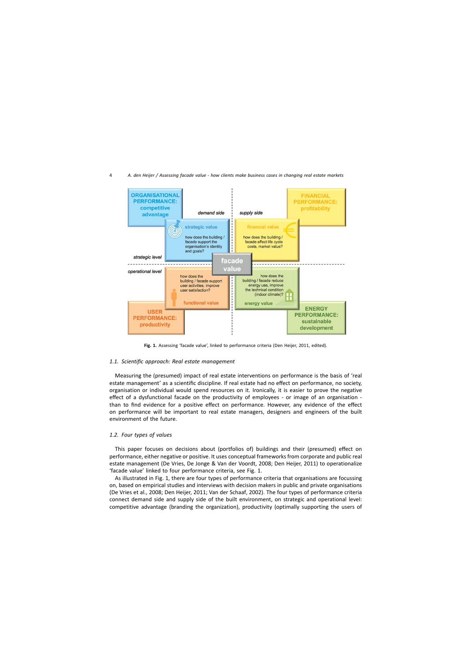

Fig. 1. Assessing 'facade value', linked to performance criteria (Den Heijer, 2011, edited).

## *1.1. Scientific approach: Real estate management*

Measuring the (presumed) impact of real estate interventions on performance is the basis of 'real estate management' as a scientific discipline. If real estate had no effect on performance, no society, organisation or individual would spend resources on it. Ironically, it is easier to prove the negative effect of a dysfunctional facade on the productivity of employees - or image of an organisation than to find evidence for a positive effect on performance. However, any evidence of the effect on performance will be important to real estate managers, designers and engineers of the built environment of the future.

## *1.2. Four types of values*

This paper focuses on decisions about (portfolios of) buildings and their (presumed) effect on performance, either negative or positive. It uses conceptual frameworks from corporate and public real estate management (De Vries, De Jonge & Van der Voordt, 2008; Den Heijer, 2011) to operationalize 'facade value' linked to four performance criteria, see Fig. 1.

As illustrated in Fig. 1, there are four types of performance criteria that organisations are focussing on, based on empirical studies and interviews with decision makers in public and private organisations (De Vries et al., 2008; Den Heijer, 2011; Van der Schaaf, 2002). The four types of performance criteria connect demand side and supply side of the built environment, on strategic and operational level: competitive advantage (branding the organization), productivity (optimally supporting the users of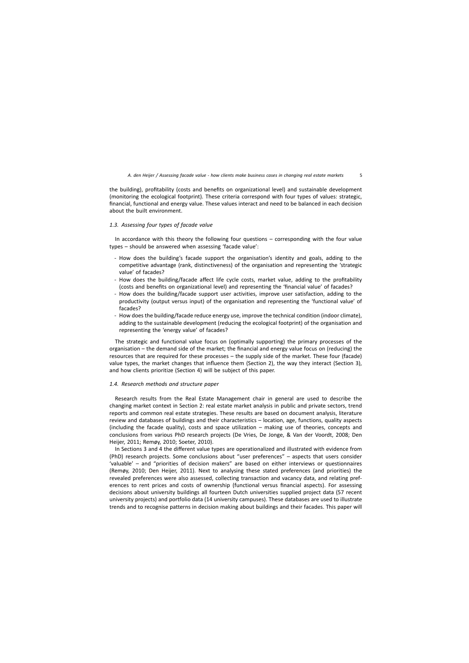the building), profitability (costs and benefits on organizational level) and sustainable development (monitoring the ecological footprint). These criteria correspond with four types of values: strategic, financial, functional and energy value. These values interact and need to be balanced in each decision about the built environment.

## *1.3. Assessing four types of facade value*

In accordance with this theory the following four questions – corresponding with the four value types – should be answered when assessing 'facade value':

- How does the building's facade support the organisation's identity and goals, adding to the competitive advantage (rank, distinctiveness) of the organisation and representing the 'strategic value' of facades?
- How does the building/facade affect life cycle costs, market value, adding to the profitability (costs and benefits on organizational level) and representing the 'financial value' of facades?
- How does the building/facade support user activities, improve user satisfaction, adding to the productivity (output versus input) of the organisation and representing the 'functional value' of facades?
- How does the building/facade reduce energy use, improve the technical condition (indoor climate), adding to the sustainable development (reducing the ecological footprint) of the organisation and representing the 'energy value' of facades?

The strategic and functional value focus on (optimally supporting) the primary processes of the organisation – the demand side of the market; the financial and energy value focus on (reducing) the resources that are required for these processes – the supply side of the market. These four (facade) value types, the market changes that influence them (Section 2), the way they interact (Section 3), and how clients prioritize (Section 4) will be subject of this paper.

## *1.4. Research methods and structure paper*

Research results from the Real Estate Management chair in general are used to describe the changing market context in Section 2: real estate market analysis in public and private sectors, trend reports and common real estate strategies. These results are based on document analysis, literature review and databases of buildings and their characteristics – location, age, functions, quality aspects (including the facade quality), costs and space utilization – making use of theories, concepts and conclusions from various PhD research projects (De Vries, De Jonge, & Van der Voordt, 2008; Den Heijer, 2011; Remøy, 2010; Soeter, 2010).

In Sections 3 and 4 the different value types are operationalized and illustrated with evidence from (PhD) research projects. Some conclusions about "user preferences" – aspects that users consider 'valuable' – and "priorities of decision makers" are based on either interviews or questionnaires (Remøy, 2010; Den Heijer, 2011). Next to analysing these stated preferences (and priorities) the revealed preferences were also assessed, collecting transaction and vacancy data, and relating preferences to rent prices and costs of ownership (functional versus financial aspects). For assessing decisions about university buildings all fourteen Dutch universities supplied project data (57 recent university projects) and portfolio data (14 university campuses). These databases are used to illustrate trends and to recognise patterns in decision making about buildings and their facades. This paper will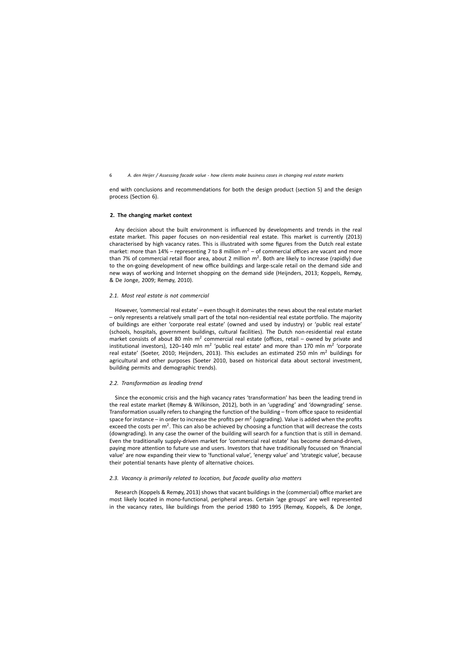end with conclusions and recommendations for both the design product (section 5) and the design process (Section 6).

## **2. The changing market context**

Any decision about the built environment is influenced by developments and trends in the real estate market. This paper focuses on non-residential real estate. This market is currently (2013) characterised by high vacancy rates. This is illustrated with some figures from the Dutch real estate market: more than  $14\%$  – representing 7 to 8 million  $m^2$  – of commercial offices are vacant and more than 7% of commercial retail floor area, about 2 million  $m^2$ . Both are likely to increase (rapidly) due to the on-going development of new office buildings and large-scale retail on the demand side and new ways of working and Internet shopping on the demand side (Heijnders, 2013; Koppels, Remøy, & De Jonge, 2009; Remøy, 2010).

#### *2.1. Most real estate is not commercial*

However, 'commercial real estate' – even though it dominates the news about the real estate market – only represents a relatively small part of the total non-residential real estate portfolio. The majority of buildings are either 'corporate real estate' (owned and used by industry) or 'public real estate' (schools, hospitals, government buildings, cultural facilities). The Dutch non-residential real estate market consists of about 80 mln  $m^2$  commercial real estate (offices, retail – owned by private and institutional investors), 120–140 mln m<sup>2</sup> 'public real estate' and more than 170 mln m<sup>2</sup> 'corporate real estate' (Soeter, 2010; Heijnders, 2013). This excludes an estimated 250 mln  $m<sup>2</sup>$  buildings for agricultural and other purposes (Soeter 2010, based on historical data about sectoral investment, building permits and demographic trends).

#### *2.2. Transformation as leading trend*

Since the economic crisis and the high vacancy rates 'transformation' has been the leading trend in the real estate market (Remøy & Wilkinson, 2012), both in an 'upgrading' and 'downgrading' sense. Transformation usually refers to changing the function of the building – from office space to residential space for instance – in order to increase the profits per  $m<sup>2</sup>$  (upgrading). Value is added when the profits exceed the costs per  $m^2$ . This can also be achieved by choosing a function that will decrease the costs (downgrading). In any case the owner of the building will search for a function that is still in demand. Even the traditionally supply-driven market for 'commercial real estate' has become demand-driven, paying more attention to future use and users. Investors that have traditionally focussed on 'financial value' are now expanding their view to 'functional value', 'energy value' and 'strategic value', because their potential tenants have plenty of alternative choices.

## *2.3. Vacancy is primarily related to location, but facade quality also matters*

Research (Koppels & Remøy, 2013) shows that vacant buildings in the (commercial) office market are most likely located in mono-functional, peripheral areas. Certain 'age groups' are well represented in the vacancy rates, like buildings from the period 1980 to 1995 (Remøy, Koppels, & De Jonge,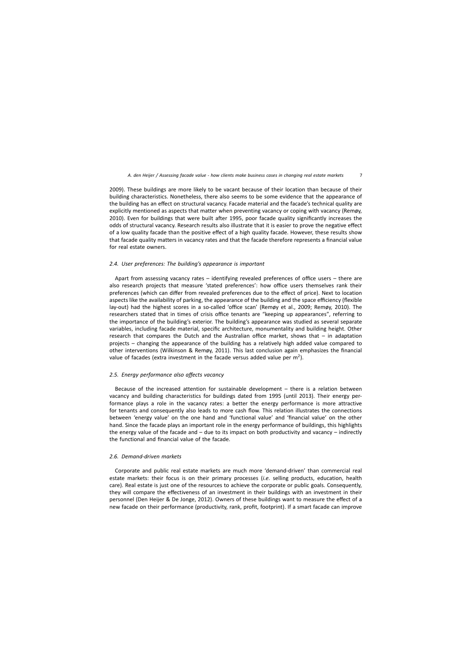2009). These buildings are more likely to be vacant because of their location than because of their building characteristics. Nonetheless, there also seems to be some evidence that the appearance of the building has an effect on structural vacancy. Facade material and the facade's technical quality are explicitly mentioned as aspects that matter when preventing vacancy or coping with vacancy (Remøy, 2010). Even for buildings that were built after 1995, poor facade quality significantly increases the odds of structural vacancy. Research results also illustrate that it is easier to prove the negative effect of a low quality facade than the positive effect of a high quality facade. However, these results show that facade quality matters in vacancy rates and that the facade therefore represents a financial value for real estate owners.

## *2.4. User preferences: The building's appearance is important*

Apart from assessing vacancy rates – identifying revealed preferences of office users – there are also research projects that measure 'stated preferences': how office users themselves rank their preferences (which can differ from revealed preferences due to the effect of price). Next to location aspects like the availability of parking, the appearance of the building and the space efficiency (flexible lay-out) had the highest scores in a so-called 'office scan' (Remøy et al., 2009; Remøy, 2010). The researchers stated that in times of crisis office tenants are "keeping up appearances", referring to the importance of the building's exterior. The building's appearance was studied as several separate variables, including facade material, specific architecture, monumentality and building height. Other research that compares the Dutch and the Australian office market, shows that – in adaptation projects – changing the appearance of the building has a relatively high added value compared to other interventions (Wilkinson & Remøy, 2011). This last conclusion again emphasizes the financial value of facades (extra investment in the facade versus added value per  $m<sup>2</sup>$ ).

# *2.5. Energy performance also affects vacancy*

Because of the increased attention for sustainable development – there is a relation between vacancy and building characteristics for buildings dated from 1995 (until 2013). Their energy performance plays a role in the vacancy rates: a better the energy performance is more attractive for tenants and consequently also leads to more cash flow. This relation illustrates the connections between 'energy value' on the one hand and 'functional value' and 'financial value' on the other hand. Since the facade plays an important role in the energy performance of buildings, this highlights the energy value of the facade and – due to its impact on both productivity and vacancy – indirectly the functional and financial value of the facade.

### *2.6. Demand-driven markets*

Corporate and public real estate markets are much more 'demand-driven' than commercial real estate markets: their focus is on their primary processes (*i.e.* selling products, education, health care). Real estate is just one of the resources to achieve the corporate or public goals. Consequently, they will compare the effectiveness of an investment in their buildings with an investment in their personnel (Den Heijer & De Jonge, 2012). Owners of these buildings want to measure the effect of a new facade on their performance (productivity, rank, profit, footprint). If a smart facade can improve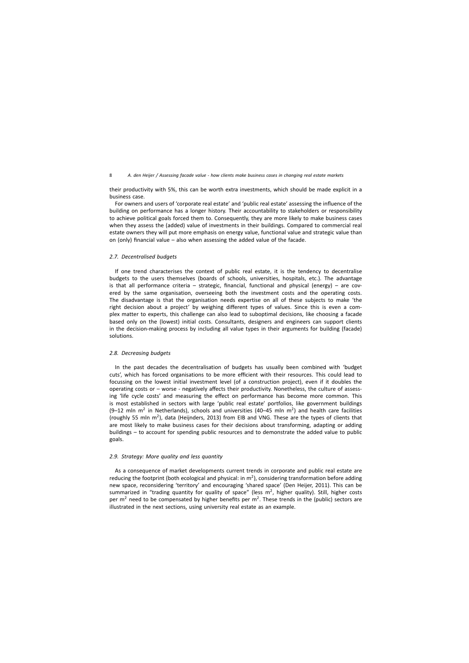their productivity with 5%, this can be worth extra investments, which should be made explicit in a business case.

For owners and users of 'corporate real estate' and 'public real estate' assessing the influence of the building on performance has a longer history. Their accountability to stakeholders or responsibility to achieve political goals forced them to. Consequently, they are more likely to make business cases when they assess the (added) value of investments in their buildings. Compared to commercial real estate owners they will put more emphasis on energy value, functional value and strategic value than on (only) financial value – also when assessing the added value of the facade.

#### *2.7. Decentralised budgets*

If one trend characterises the context of public real estate, it is the tendency to decentralise budgets to the users themselves (boards of schools, universities, hospitals, etc.). The advantage is that all performance criteria – strategic, financial, functional and physical (energy) – are covered by the same organisation, overseeing both the investment costs and the operating costs. The disadvantage is that the organisation needs expertise on all of these subjects to make 'the right decision about a project' by weighing different types of values. Since this is even a complex matter to experts, this challenge can also lead to suboptimal decisions, like choosing a facade based only on the (lowest) initial costs. Consultants, designers and engineers can support clients in the decision-making process by including all value types in their arguments for building (facade) solutions.

## *2.8. Decreasing budgets*

In the past decades the decentralisation of budgets has usually been combined with 'budget cuts', which has forced organisations to be more efficient with their resources. This could lead to focussing on the lowest initial investment level (of a construction project), even if it doubles the operating costs or – worse - negatively affects their productivity. Nonetheless, the culture of assessing 'life cycle costs' and measuring the effect on performance has become more common. This is most established in sectors with large 'public real estate' portfolios, like government buildings (9-12 mln  $m^2$  in Netherlands), schools and universities (40-45 mln  $m^2$ ) and health care facilities (roughly 55 mln  $m^2$ ), data (Heijnders, 2013) from EIB and VNG. These are the types of clients that are most likely to make business cases for their decisions about transforming, adapting or adding buildings – to account for spending public resources and to demonstrate the added value to public goals.

## *2.9. Strategy: More quality and less quantity*

As a consequence of market developments current trends in corporate and public real estate are reducing the footprint (both ecological and physical: in  $m^2$ ), considering transformation before adding new space, reconsidering 'territory' and encouraging 'shared space' (Den Heijer, 2011). This can be summarized in "trading quantity for quality of space" (less  $m^2$ , higher quality). Still, higher costs per  $m^2$  need to be compensated by higher benefits per  $m^2$ . These trends in the (public) sectors are illustrated in the next sections, using university real estate as an example.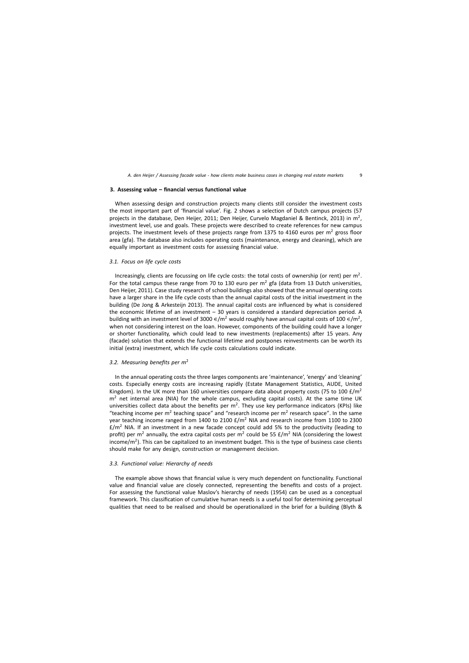## **3. Assessing value – financial versus functional value**

When assessing design and construction projects many clients still consider the investment costs the most important part of 'financial value'. Fig. 2 shows a selection of Dutch campus projects (57 projects in the database, Den Heijer, 2011; Den Heijer, Curvelo Magdaniel & Bentinck, 2013) in  $m^2$ , investment level, use and goals. These projects were described to create references for new campus projects. The investment levels of these projects range from 1375 to 4160 euros per  $m<sup>2</sup>$  gross floor area (gfa). The database also includes operating costs (maintenance, energy and cleaning), which are equally important as investment costs for assessing financial value.

## *3.1. Focus on life cycle costs*

Increasingly, clients are focussing on life cycle costs: the total costs of ownership (or rent) per  $m<sup>2</sup>$ . For the total campus these range from 70 to 130 euro per  $m^2$  gfa (data from 13 Dutch universities, Den Heijer, 2011). Case study research of school buildings also showed that the annual operating costs have a larger share in the life cycle costs than the annual capital costs of the initial investment in the building (De Jong & Arkesteijn 2013). The annual capital costs are influenced by what is considered the economic lifetime of an investment – 30 years is considered a standard depreciation period. A building with an investment level of 3000  $\epsilon/m^2$  would roughly have annual capital costs of 100  $\epsilon/m^2$ , when not considering interest on the loan. However, components of the building could have a longer or shorter functionality, which could lead to new investments (replacements) after 15 years. Any (facade) solution that extends the functional lifetime and postpones reinvestments can be worth its initial (extra) investment, which life cycle costs calculations could indicate.

## *3.2. Measuring benefits per m*<sup>2</sup>

In the annual operating costs the three larges components are 'maintenance', 'energy' and 'cleaning' costs. Especially energy costs are increasing rapidly (Estate Management Statistics, AUDE, United Kingdom). In the UK more than 160 universities compare data about property costs (75 to 100  $\text{E/m}^2$  $m<sup>2</sup>$  net internal area (NIA) for the whole campus, excluding capital costs). At the same time UK universities collect data about the benefits per  $m^2$ . They use key performance indicators (KPIs) like "teaching income per  $m^2$  teaching space" and "research income per  $m^2$  research space". In the same year teaching income ranged from 1400 to 2100 £/m<sup>2</sup> NIA and research income from 1100 to 2300  $f/m^2$  NIA. If an investment in a new facade concept could add 5% to the productivity (leading to profit) per m<sup>2</sup> annually, the extra capital costs per m<sup>2</sup> could be 55  $\pm/m^2$  NIA (considering the lowest income/m<sup>2</sup>). This can be capitalized to an investment budget. This is the type of business case clients should make for any design, construction or management decision.

## *3.3. Functional value: Hierarchy of needs*

The example above shows that financial value is very much dependent on functionality. Functional value and financial value are closely connected, representing the benefits and costs of a project. For assessing the functional value Maslov's hierarchy of needs (1954) can be used as a conceptual framework. This classification of cumulative human needs is a useful tool for determining perceptual qualities that need to be realised and should be operationalized in the brief for a building (Blyth &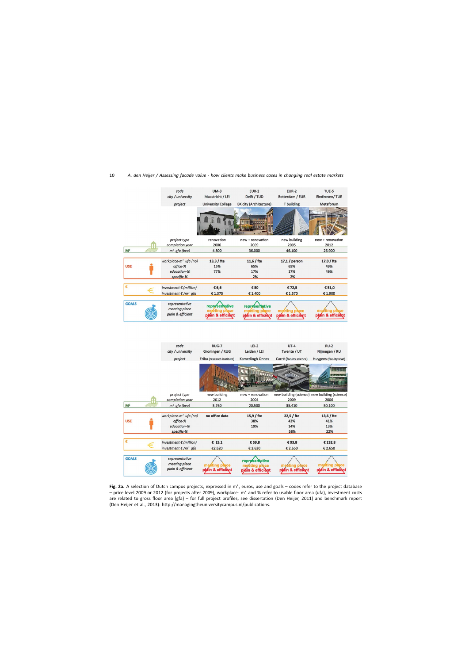|                | code<br>city / university                                                  | $UM-3$<br>Maastricht / LEI                                  | <b>EUR-2</b><br>Delft / TUD                          | <b>EUR-2</b><br>Rotterdam / EUR                  | TUE-5<br>Eindhoven/TUE                           |
|----------------|----------------------------------------------------------------------------|-------------------------------------------------------------|------------------------------------------------------|--------------------------------------------------|--------------------------------------------------|
|                |                                                                            | <b>University College</b>                                   | BK city (Architecture)                               | T building                                       | Metaforum                                        |
|                | project                                                                    |                                                             | <b>THE EXISTS</b>                                    |                                                  |                                                  |
|                | project type                                                               | renovation                                                  | new + renovation                                     | new building                                     | new + renovation                                 |
|                | completion year                                                            | 2006                                                        | 2009                                                 | 2005                                             | 2012                                             |
| M <sup>2</sup> | $m2$ gfa (bvo)                                                             | 4.800                                                       | 36.000                                               | 46.100                                           | 26.900                                           |
| <b>USE</b>     | workplace-m <sup>2</sup> ufa (no)<br>office-%<br>education-%<br>specific-% | $13,3$ / fte<br>15%<br>77%                                  | $11,6$ / fte<br>65%<br>17%<br>2%                     | $17,1/$ person<br>65%<br>17%<br>2%               | 17,0 / fte<br>49%<br>49%                         |
| €              | investment $\epsilon$ (million)                                            | € 6,6                                                       | € 50                                                 | €72,5                                            | € 51,0                                           |
|                | investment $\epsilon/m^2$ gfa                                              | €1.375                                                      | € 1.400                                              | € 1.570                                          | € 1.900                                          |
| <b>GOALS</b>   | representative<br>meeting place<br>plain & efficient                       | <b>representative</b><br>meeting place<br>plain & efficient | representative<br>meeting place<br>plain & efficient | meeting place<br>plain & efficient               | éting pi<br>plain & efficient                    |
|                | code<br>city / university<br>project                                       | RUG-7<br>Groningen / RUG<br>Eriba (research institute)      | $LEI-2$<br>Leiden / LEI<br>Kamerlingh Onnes          | $UT-4$<br>Twente / UT<br>Carré (faculty science) | $RU-2$<br>Nijmegen / RU<br>Huygens (faculty NWI) |
|                |                                                                            |                                                             |                                                      |                                                  |                                                  |
|                | project type                                                               | new building                                                | new + renovation                                     |                                                  | new building (science) new building (science)    |
| M <sup>2</sup> | completion year<br>$m^2$ qfa (bvo)                                         | 2012<br>5.760                                               | 2004<br>20.500                                       | 2009<br>35.410                                   | 2006<br>50.100                                   |
|                |                                                                            |                                                             |                                                      |                                                  |                                                  |
| <b>USE</b>     | workplace- $m^2$ ufa (no)<br>office-%<br>education-%<br>specific-%         | no office data                                              | 15,9 / fte<br>38%<br>19%                             | 22,5 / fte<br>43%<br>14%<br>58%                  | 13,6 / fte<br>41%<br>13%<br>22%                  |
| €              | investment $\epsilon$ (million)                                            | \$15,1                                                      | € 59,8                                               | €93,8                                            | €132,8                                           |
|                | $intractm$ or $f$ and $g$ and $f$                                          | 5250                                                        | 5200                                                 | 5700                                             | 5200                                             |

Fig. 2a. A selection of Dutch campus projects, expressed in m<sup>2</sup>, euros, use and goals – codes refer to the project database – price level 2009 or 2012 (for projects after 2009), workplace- $m^2$  and % refer to usable floor area (ufa), investment costs are related to gross floor area (gfa) – for full project profiles, see dissertation (Den Heijer, 2011) and benchmark report (Den Heijer et al., 2013):<http://managingtheuniversitycampus.nl/publications>.

plain & efficient

representative

plain & efficient

plain & efficie

plain & efficient

GOALS

((C)

representative

meeting place

plain & efficient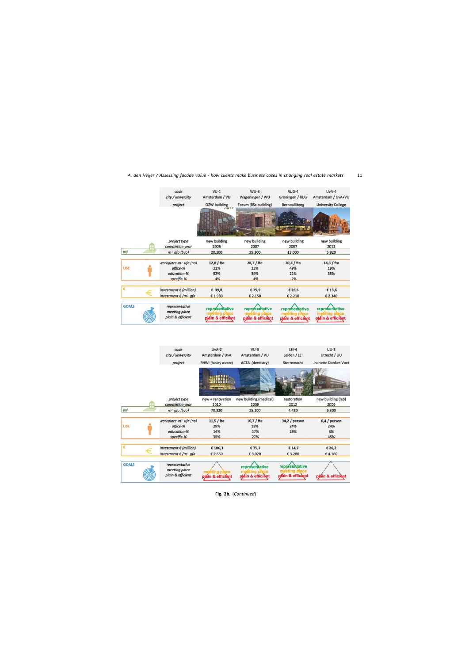|                | code<br>city / university                            | $VU-1$<br>Amsterdam / VU                                    | $WU-3$<br>Wageningen / WU                            | RUG-4<br>Groningen / RUG                             | $UvA-4$<br>Amsterdam / UvA+VU                               |
|----------------|------------------------------------------------------|-------------------------------------------------------------|------------------------------------------------------|------------------------------------------------------|-------------------------------------------------------------|
|                | project                                              | OZW building                                                | Forum (BSc building)                                 | <b>Bernoulliborg</b>                                 | <b>University College</b>                                   |
|                |                                                      | 不遵子术                                                        |                                                      |                                                      |                                                             |
|                | project type                                         | new building                                                | new building                                         | new building                                         | new building                                                |
|                | completion year                                      | 2006                                                        | 2007                                                 | 2007                                                 | 2012                                                        |
| M <sup>2</sup> | $m2$ gfa (bvo)                                       | 20.100                                                      | 35,300                                               | 12.000                                               | 5.820                                                       |
|                | workplace-m <sup>2</sup> ufa (no)                    | $12,8$ / fte                                                | 28,7 / fte                                           | $20,4$ / fte                                         | $14,3$ / fte                                                |
| <b>USE</b>     | office-%                                             | 21%                                                         | 13%                                                  | 49%                                                  | 19%                                                         |
|                | education-%                                          | 52%                                                         | 39%                                                  | 21%                                                  | 35%                                                         |
|                | specific-%                                           | 4%                                                          | 4%                                                   | 2%                                                   |                                                             |
| €              | investment $\epsilon$ (million)                      | € 39,8                                                      | €75,9                                                | € 26,5                                               | €13,6                                                       |
|                | investment €/m <sup>2</sup> gfa                      | €1.980                                                      | € 2.150                                              | € 2.210                                              | € 2.340                                                     |
|                |                                                      |                                                             |                                                      |                                                      |                                                             |
| <b>GOALS</b>   | representative<br>meeting place<br>plain & efficient | <b>representative</b><br>meeting place<br>plain & efficient | representative<br>meeting place<br>plain & efficient | representative<br>meeting place<br>plain & efficient | <b>representative</b><br>meeting place<br>plain & efficient |
|                |                                                      |                                                             |                                                      |                                                      |                                                             |

|                | code<br>city / university                                                  | $UvA-2$<br>Amsterdam / UvA        | $VU-3$<br>Amsterdam / VU                          | $LEI-4$<br>Leiden / LEI                              | $UU-3$<br>Utrecht / UU            |
|----------------|----------------------------------------------------------------------------|-----------------------------------|---------------------------------------------------|------------------------------------------------------|-----------------------------------|
|                | project                                                                    | <b>FNWI</b> (faculty science)     | <b>ACTA</b> (dentistry)                           | Sterrewacht                                          | Jeanette Donker-Voet              |
|                |                                                                            | <b>THE SEAT HILL</b>              |                                                   |                                                      | <b>ETTIM</b><br><b>ILINER</b>     |
|                | project type                                                               | new + renovation                  | new building (medical)                            | restoration                                          | new building (lab)                |
|                | completion year                                                            | 2010                              | 2009                                              | 2012                                                 | 2006                              |
| M <sup>2</sup> | $m2$ gfa (bvo)                                                             | 70.320                            | 25.100                                            | 4.480                                                | 6.300                             |
| <b>USE</b>     | workplace-m <sup>2</sup> ufa (no)<br>office-%<br>education-%<br>specific-% | $11,5$ / fte<br>28%<br>14%<br>35% | $10,7$ / fte<br>18%<br>17%<br>27%                 | $34,2/$ person<br>24%<br>29%                         | $6,4/$ person<br>24%<br>3%<br>45% |
| €              | investment $\epsilon$ (million)<br>investment $€/m^2$ gfa                  | € 186,3<br>€ 2.650                | €75,7<br>€ 3.020                                  | € 14,7<br>€3.280                                     | € 26,2<br>€4.160                  |
| <b>GOALS</b>   | representative<br>meeting place<br>plain & efficient                       | in & efficient                    | <b>representative</b><br>ace<br>plain & efficient | representative<br>meeting place<br>plain & efficient | plain & efficient                 |

**Fig. 2b.** (*Continued*)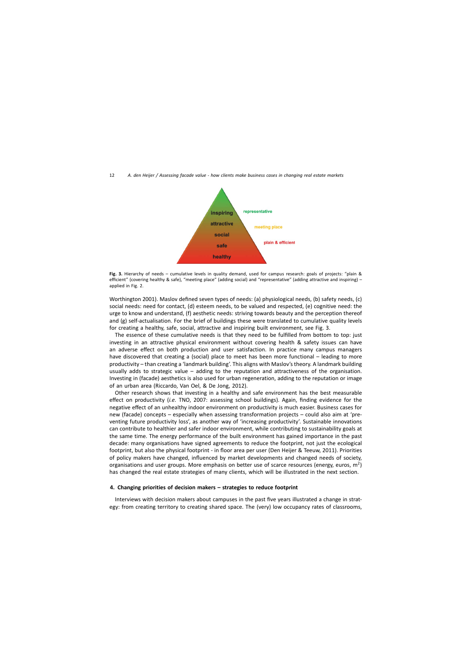

**Fig. 3.** Hierarchy of needs – cumulative levels in quality demand, used for campus research: goals of projects: "plain & efficient" (covering healthy & safe), "meeting place" (adding social) and "representative" (adding attractive and inspiring) – applied in Fig. 2.

Worthington 2001). Maslov defined seven types of needs: (a) physiological needs, (b) safety needs, (c) social needs: need for contact, (d) esteem needs, to be valued and respected, (e) cognitive need: the urge to know and understand, (f) aesthetic needs: striving towards beauty and the perception thereof and (g) self-actualisation. For the brief of buildings these were translated to cumulative quality levels for creating a healthy, safe, social, attractive and inspiring built environment, see Fig. 3.

The essence of these cumulative needs is that they need to be fulfilled from bottom to top: just investing in an attractive physical environment without covering health & safety issues can have an adverse effect on both production and user satisfaction. In practice many campus managers have discovered that creating a (social) place to meet has been more functional – leading to more productivity – than creating a 'landmark building'. This aligns with Maslov's theory. A landmark building usually adds to strategic value – adding to the reputation and attractiveness of the organisation. Investing in (facade) aesthetics is also used for urban regeneration, adding to the reputation or image of an urban area (Riccardo, Van Oel, & De Jong, 2012).

Other research shows that investing in a healthy and safe environment has the best measurable effect on productivity (*i.e.* TNO, 2007: assessing school buildings). Again, finding evidence for the negative effect of an unhealthy indoor environment on productivity is much easier. Business cases for new (facade) concepts – especially when assessing transformation projects – could also aim at 'preventing future productivity loss', as another way of 'increasing productivity'. Sustainable innovations can contribute to healthier and safer indoor environment, while contributing to sustainability goals at the same time. The energy performance of the built environment has gained importance in the past decade: many organisations have signed agreements to reduce the footprint, not just the ecological footprint, but also the physical footprint - in floor area per user (Den Heijer & Teeuw, 2011). Priorities of policy makers have changed, influenced by market developments and changed needs of society, organisations and user groups. More emphasis on better use of scarce resources (energy, euros,  $m^2$ ) has changed the real estate strategies of many clients, which will be illustrated in the next section.

## **4. Changing priorities of decision makers – strategies to reduce footprint**

Interviews with decision makers about campuses in the past five years illustrated a change in strategy: from creating territory to creating shared space. The (very) low occupancy rates of classrooms,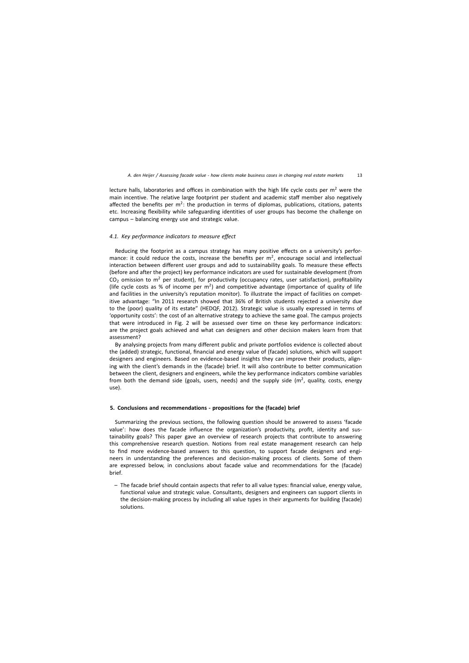lecture halls, laboratories and offices in combination with the high life cycle costs per  $m<sup>2</sup>$  were the main incentive. The relative large footprint per student and academic staff member also negatively affected the benefits per  $m^2$ : the production in terms of diplomas, publications, citations, patents etc. Increasing flexibility while safeguarding identities of user groups has become the challenge on campus – balancing energy use and strategic value.

## *4.1. Key performance indicators to measure effect*

Reducing the footprint as a campus strategy has many positive effects on a university's performance: it could reduce the costs, increase the benefits per  $m^2$ , encourage social and intellectual interaction between different user groups and add to sustainability goals. To measure these effects (before and after the project) key performance indicators are used for sustainable development (from  $CO<sub>2</sub>$  omission to m<sup>2</sup> per student), for productivity (occupancy rates, user satisfaction), profitability (life cycle costs as % of income per  $m<sup>2</sup>$ ) and competitive advantage (importance of quality of life and facilities in the university's reputation monitor). To illustrate the impact of facilities on competitive advantage: "In 2011 research showed that 36% of British students rejected a university due to the (poor) quality of its estate" (HEDQF, 2012). Strategic value is usually expressed in terms of 'opportunity costs': the cost of an alternative strategy to achieve the same goal. The campus projects that were introduced in Fig. 2 will be assessed over time on these key performance indicators: are the project goals achieved and what can designers and other decision makers learn from that assessment?

By analysing projects from many different public and private portfolios evidence is collected about the (added) strategic, functional, financial and energy value of (facade) solutions, which will support designers and engineers. Based on evidence-based insights they can improve their products, aligning with the client's demands in the (facade) brief. It will also contribute to better communication between the client, designers and engineers, while the key performance indicators combine variables from both the demand side (goals, users, needs) and the supply side ( $m<sup>2</sup>$ , quality, costs, energy use).

#### **5. Conclusions and recommendations - propositions for the (facade) brief**

Summarizing the previous sections, the following question should be answered to assess 'facade value': how does the facade influence the organization's productivity, profit, identity and sustainability goals? This paper gave an overview of research projects that contribute to answering this comprehensive research question. Notions from real estate management research can help to find more evidence-based answers to this question, to support facade designers and engineers in understanding the preferences and decision-making process of clients. Some of them are expressed below, in conclusions about facade value and recommendations for the (facade) brief.

– The facade brief should contain aspects that refer to all value types: financial value, energy value, functional value and strategic value. Consultants, designers and engineers can support clients in the decision-making process by including all value types in their arguments for building (facade) solutions.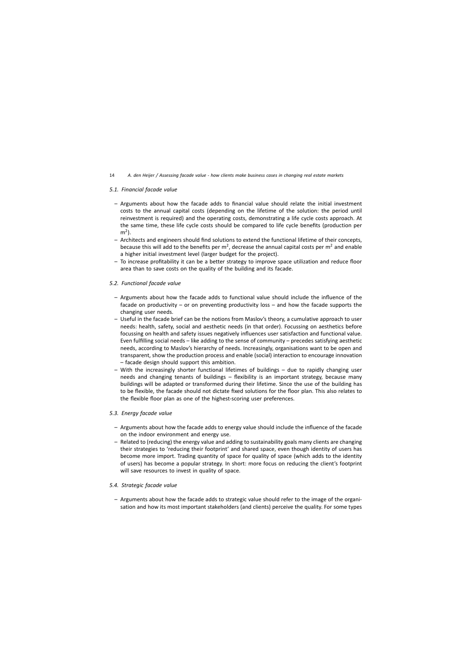## *5.1. Financial facade value*

- Arguments about how the facade adds to financial value should relate the initial investment costs to the annual capital costs (depending on the lifetime of the solution: the period until reinvestment is required) and the operating costs, demonstrating a life cycle costs approach. At the same time, these life cycle costs should be compared to life cycle benefits (production per  $m<sup>2</sup>$ ).
- Architects and engineers should find solutions to extend the functional lifetime of their concepts, because this will add to the benefits per  $m^2$ , decrease the annual capital costs per  $m^2$  and enable a higher initial investment level (larger budget for the project).
- To increase profitability it can be a better strategy to improve space utilization and reduce floor area than to save costs on the quality of the building and its facade.

## *5.2. Functional facade value*

- Arguments about how the facade adds to functional value should include the influence of the facade on productivity – or on preventing productivity loss – and how the facade supports the changing user needs.
- Useful in the facade brief can be the notions from Maslov's theory, a cumulative approach to user needs: health, safety, social and aesthetic needs (in that order). Focussing on aesthetics before focussing on health and safety issues negatively influences user satisfaction and functional value. Even fulfilling social needs – like adding to the sense of community – precedes satisfying aesthetic needs, according to Maslov's hierarchy of needs. Increasingly, organisations want to be open and transparent, show the production process and enable (social) interaction to encourage innovation – facade design should support this ambition.
- With the increasingly shorter functional lifetimes of buildings due to rapidly changing user needs and changing tenants of buildings – flexibility is an important strategy, because many buildings will be adapted or transformed during their lifetime. Since the use of the building has to be flexible, the facade should not dictate fixed solutions for the floor plan. This also relates to the flexible floor plan as one of the highest-scoring user preferences.

## *5.3. Energy facade value*

- Arguments about how the facade adds to energy value should include the influence of the facade on the indoor environment and energy use.
- Related to (reducing) the energy value and adding to sustainability goals many clients are changing their strategies to 'reducing their footprint' and shared space, even though identity of users has become more import. Trading quantity of space for quality of space (which adds to the identity of users) has become a popular strategy. In short: more focus on reducing the client's footprint will save resources to invest in quality of space.

## *5.4. Strategic facade value*

– Arguments about how the facade adds to strategic value should refer to the image of the organisation and how its most important stakeholders (and clients) perceive the quality. For some types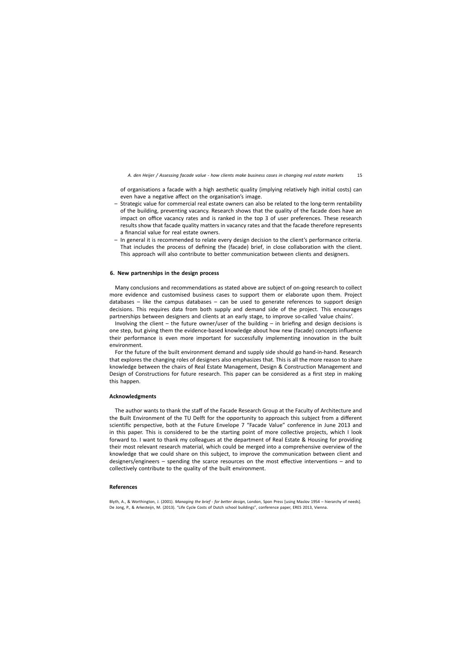of organisations a facade with a high aesthetic quality (implying relatively high initial costs) can even have a negative affect on the organisation's image.

- Strategic value for commercial real estate owners can also be related to the long-term rentability of the building, preventing vacancy. Research shows that the quality of the facade does have an impact on office vacancy rates and is ranked in the top 3 of user preferences. These research results show that facade quality matters in vacancy rates and that the facade therefore represents a financial value for real estate owners.
- In general it is recommended to relate every design decision to the client's performance criteria. That includes the process of defining the (facade) brief, in close collaboration with the client. This approach will also contribute to better communication between clients and designers.

## **6. New partnerships in the design process**

Many conclusions and recommendations as stated above are subject of on-going research to collect more evidence and customised business cases to support them or elaborate upon them. Project databases – like the campus databases – can be used to generate references to support design decisions. This requires data from both supply and demand side of the project. This encourages partnerships between designers and clients at an early stage, to improve so-called 'value chains'.

Involving the client – the future owner/user of the building – in briefing and design decisions is one step, but giving them the evidence-based knowledge about how new (facade) concepts influence their performance is even more important for successfully implementing innovation in the built environment.

For the future of the built environment demand and supply side should go hand-in-hand. Research that explores the changing roles of designers also emphasizes that. This is all the more reason to share knowledge between the chairs of Real Estate Management, Design & Construction Management and Design of Constructions for future research. This paper can be considered as a first step in making this happen.

## **Acknowledgments**

The author wants to thank the staff of the Facade Research Group at the Faculty of Architecture and the Built Environment of the TU Delft for the opportunity to approach this subject from a different scientific perspective, both at the Future Envelope 7 "Facade Value" conference in June 2013 and in this paper. This is considered to be the starting point of more collective projects, which I look forward to. I want to thank my colleagues at the department of Real Estate & Housing for providing their most relevant research material, which could be merged into a comprehensive overview of the knowledge that we could share on this subject, to improve the communication between client and designers/engineers – spending the scarce resources on the most effective interventions – and to collectively contribute to the quality of the built environment.

#### **References**

Blyth, A., & Worthington, J. (2001). *Managing the brief - for better design*, London, Spon Press [using Maslov 1954 – hierarchy of needs]. De Jong, P., & Arkesteijn, M. (2013). "Life Cycle Costs of Dutch school buildings", conference paper, ERES 2013, Vienna.